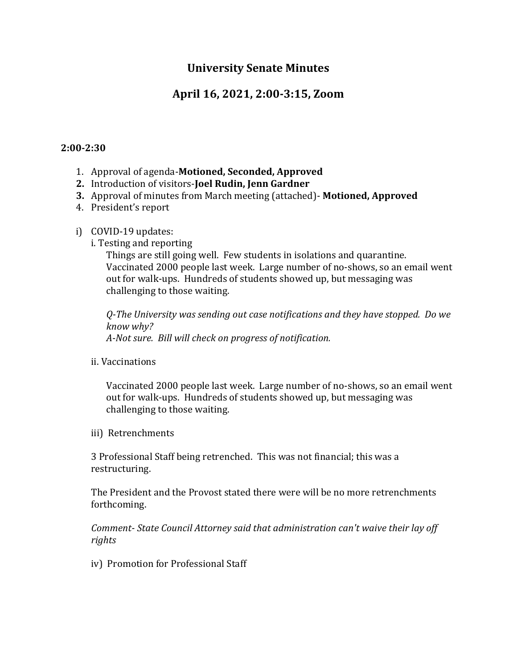# **University Senate Minutes**

# **April 16, 2021, 2:00-3:15, Zoom**

#### **2:00-2:30**

- 1. Approval of agenda-**Motioned, Seconded, Approved**
- **2.** Introduction of visitors-**Joel Rudin, Jenn Gardner**
- **3.** Approval of minutes from March meeting (attached)- **Motioned, Approved**
- 4. President's report
- i) COVID-19 updates:
	- i. Testing and reporting

Things are still going well. Few students in isolations and quarantine. Vaccinated 2000 people last week. Large number of no-shows, so an email went out for walk-ups. Hundreds of students showed up, but messaging was challenging to those waiting.

*Q-The University was sending out case notifications and they have stopped. Do we know why? A-Not sure. Bill will check on progress of notification.*

ii. Vaccinations

Vaccinated 2000 people last week. Large number of no-shows, so an email went out for walk-ups. Hundreds of students showed up, but messaging was challenging to those waiting.

iii) Retrenchments

3 Professional Staff being retrenched. This was not financial; this was a restructuring.

The President and the Provost stated there were will be no more retrenchments forthcoming.

*Comment- State Council Attorney said that administration can't waive their lay off rights*

iv) Promotion for Professional Staff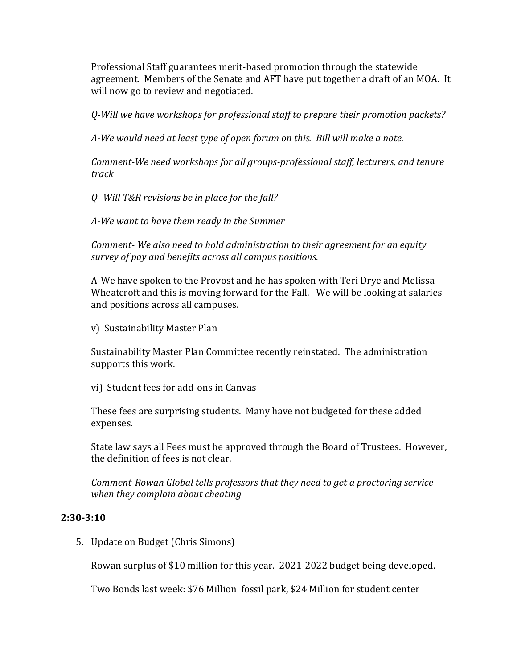Professional Staff guarantees merit-based promotion through the statewide agreement. Members of the Senate and AFT have put together a draft of an MOA. It will now go to review and negotiated.

*Q-Will we have workshops for professional staff to prepare their promotion packets?*

*A-We would need at least type of open forum on this. Bill will make a note.*

*Comment-We need workshops for all groups-professional staff, lecturers, and tenure track* 

*Q- Will T&R revisions be in place for the fall?*

*A-We want to have them ready in the Summer*

*Comment- We also need to hold administration to their agreement for an equity survey of pay and benefits across all campus positions.*

A-We have spoken to the Provost and he has spoken with Teri Drye and Melissa Wheatcroft and this is moving forward for the Fall. We will be looking at salaries and positions across all campuses.

v) Sustainability Master Plan

Sustainability Master Plan Committee recently reinstated. The administration supports this work.

vi) Student fees for add-ons in Canvas

These fees are surprising students. Many have not budgeted for these added expenses.

State law says all Fees must be approved through the Board of Trustees. However, the definition of fees is not clear.

*Comment-Rowan Global tells professors that they need to get a proctoring service when they complain about cheating*

### **2:30-3:10**

5. Update on Budget (Chris Simons)

Rowan surplus of \$10 million for this year. 2021-2022 budget being developed.

Two Bonds last week: \$76 Million fossil park, \$24 Million for student center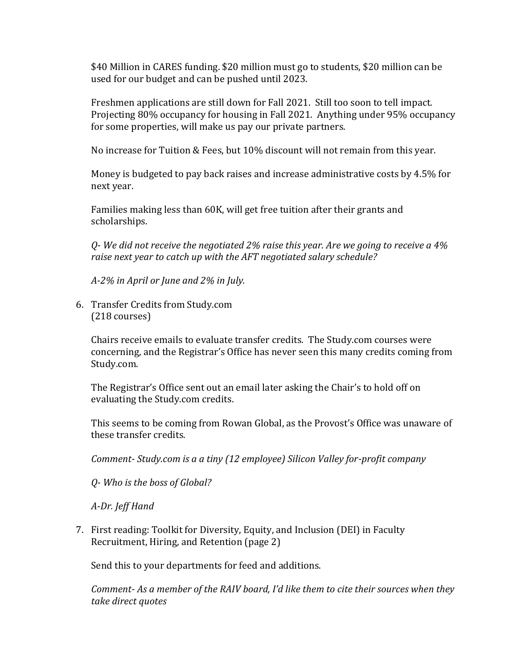\$40 Million in CARES funding. \$20 million must go to students, \$20 million can be used for our budget and can be pushed until 2023.

Freshmen applications are still down for Fall 2021. Still too soon to tell impact. Projecting 80% occupancy for housing in Fall 2021. Anything under 95% occupancy for some properties, will make us pay our private partners.

No increase for Tuition & Fees, but 10% discount will not remain from this year.

Money is budgeted to pay back raises and increase administrative costs by 4.5% for next year.

Families making less than 60K, will get free tuition after their grants and scholarships.

*Q- We did not receive the negotiated 2% raise this year. Are we going to receive a 4% raise next year to catch up with the AFT negotiated salary schedule?*

*A-2% in April or June and 2% in July.* 

6. Transfer Credits from Study.com (218 courses)

Chairs receive emails to evaluate transfer credits. The Study.com courses were concerning, and the Registrar's Office has never seen this many credits coming from Study.com.

The Registrar's Office sent out an email later asking the Chair's to hold off on evaluating the Study.com credits.

This seems to be coming from Rowan Global, as the Provost's Office was unaware of these transfer credits.

*Comment- Study.com is a a tiny (12 employee) Silicon Valley for-profit company*

*Q- Who is the boss of Global?*

*A-Dr. Jeff Hand*

7. First reading: Toolkit for Diversity, Equity, and Inclusion (DEI) in Faculty Recruitment, Hiring, and Retention (page 2)

Send this to your departments for feed and additions.

*Comment- As a member of the RAIV board, I'd like them to cite their sources when they take direct quotes*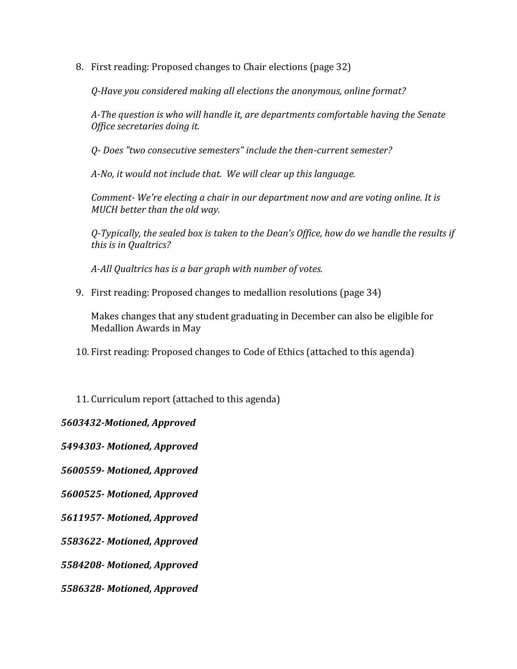8. First reading: Proposed changes to Chair elections (page 32)

*Q-Have you considered making all elections the anonymous, online format?*

*A-The question is who will handle it, are departments comfortable having the Senate Office secretaries doing it.*

*Q- Does "two consecutive semesters" include the then-current semester?*

*A-No, it would not include that. We will clear up this language.*

*Comment- We're electing a chair in our department now and are voting online. It is MUCH better than the old way.*

*Q-Typically, the sealed box is taken to the Dean's Office, how do we handle the results if this is in Qualtrics?*

*A-All Qualtrics has is a bar graph with number of votes.* 

9. First reading: Proposed changes to medallion resolutions (page 34)

Makes changes that any student graduating in December can also be eligible for Medallion Awards in May

- 10. First reading: Proposed changes to Code of Ethics (attached to this agenda)
- 11. Curriculum report (attached to this agenda)

## *5603432-Motioned, Approved*

*5494303- Motioned, Approved*

*5600559- Motioned, Approved*

*5600525- Motioned, Approved*

*5611957- Motioned, Approved*

*5583622- Motioned, Approved*

*5584208- Motioned, Approved*

*5586328- Motioned, Approved*